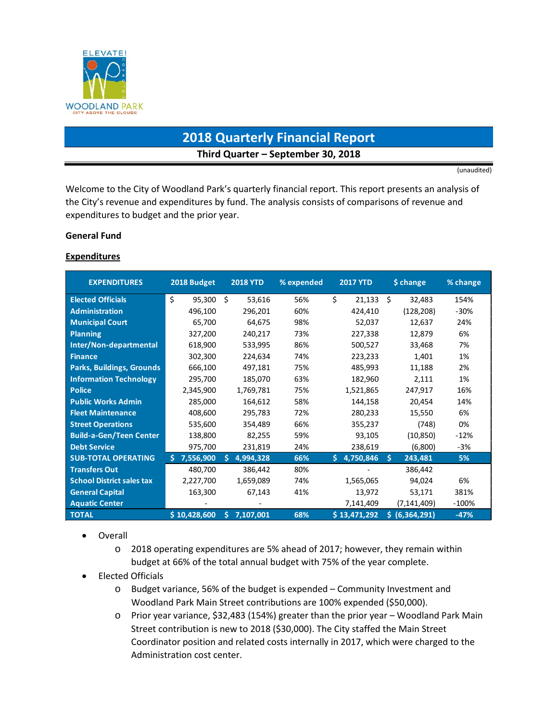

# **2018 Quarterly Financial Report Third Quarter – September 30, 2018**

(unaudited)

Welcome to the City of Woodland Park's quarterly financial report. This report presents an analysis of the City's revenue and expenditures by fund. The analysis consists of comparisons of revenue and expenditures to budget and the prior year.

### **General Fund**

### **Expenditures**

| <b>EXPENDITURES</b>              | 2018 Budget    | <b>2018 YTD</b> | % expended | <b>2017 YTD</b> | \$ change          | % change |
|----------------------------------|----------------|-----------------|------------|-----------------|--------------------|----------|
| <b>Elected Officials</b>         | \$<br>95,300   | Ŝ.<br>53,616    | 56%        | \$<br>21,133    | Ś.<br>32,483       | 154%     |
| <b>Administration</b>            | 496,100        | 296,201         | 60%        | 424,410         | (128, 208)         | $-30%$   |
| <b>Municipal Court</b>           | 65,700         | 64,675          | 98%        | 52,037          | 12,637             | 24%      |
| <b>Planning</b>                  | 327,200        | 240,217         | 73%        | 227,338         | 12,879             | 6%       |
| Inter/Non-departmental           | 618,900        | 533,995         | 86%        | 500,527         | 33,468             | 7%       |
| <b>Finance</b>                   | 302,300        | 224,634         | 74%        | 223,233         | 1,401              | 1%       |
| <b>Parks, Buildings, Grounds</b> | 666,100        | 497,181         | 75%        | 485,993         | 11,188             | 2%       |
| <b>Information Technology</b>    | 295,700        | 185,070         | 63%        | 182,960         | 2,111              | 1%       |
| <b>Police</b>                    | 2,345,900      | 1,769,781       | 75%        | 1,521,865       | 247,917            | 16%      |
| <b>Public Works Admin</b>        | 285,000        | 164,612         | 58%        | 144,158         | 20,454             | 14%      |
| <b>Fleet Maintenance</b>         | 408,600        | 295,783         | 72%        | 280,233         | 15,550             | 6%       |
| <b>Street Operations</b>         | 535,600        | 354,489         | 66%        | 355,237         | (748)              | 0%       |
| <b>Build-a-Gen/Teen Center</b>   | 138,800        | 82,255          | 59%        | 93,105          | (10, 850)          | $-12%$   |
| <b>Debt Service</b>              | 975,700        | 231,819         | 24%        | 238,619         | (6,800)            | -3%      |
| <b>SUB-TOTAL OPERATING</b>       | 7,556,900<br>S | 4,994,328<br>S. | 66%        | Š.<br>4,750,846 | Š.<br>243,481      | 5%       |
| <b>Transfers Out</b>             | 480,700        | 386,442         | 80%        |                 | 386,442            |          |
| <b>School District sales tax</b> | 2,227,700      | 1,659,089       | 74%        | 1,565,065       | 94,024             | 6%       |
| <b>General Capital</b>           | 163,300        | 67,143          | 41%        | 13,972          | 53,171             | 381%     |
| <b>Aquatic Center</b>            |                |                 |            | 7,141,409       | (7,141,409)        | $-100%$  |
| <b>TOTAL</b>                     | \$10,428,600   | 7,107,001<br>Ś. | 68%        | \$13,471,292    | (6, 364, 291)<br>S | $-47%$   |

- Overall
	- o 2018 operating expenditures are 5% ahead of 2017; however, they remain within budget at 66% of the total annual budget with 75% of the year complete.
- Elected Officials
	- o Budget variance, 56% of the budget is expended Community Investment and Woodland Park Main Street contributions are 100% expended (\$50,000).
	- o Prior year variance, \$32,483 (154%) greater than the prior year Woodland Park Main Street contribution is new to 2018 (\$30,000). The City staffed the Main Street Coordinator position and related costs internally in 2017, which were charged to the Administration cost center.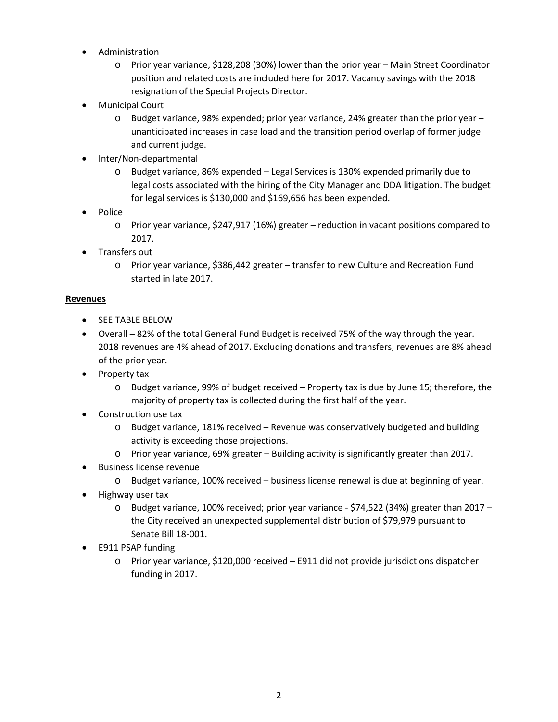- Administration
	- o Prior year variance, \$128,208 (30%) lower than the prior year Main Street Coordinator position and related costs are included here for 2017. Vacancy savings with the 2018 resignation of the Special Projects Director.
- Municipal Court
	- o Budget variance, 98% expended; prior year variance, 24% greater than the prior year unanticipated increases in case load and the transition period overlap of former judge and current judge.
- Inter/Non-departmental
	- o Budget variance, 86% expended Legal Services is 130% expended primarily due to legal costs associated with the hiring of the City Manager and DDA litigation. The budget for legal services is \$130,000 and \$169,656 has been expended.
- Police
	- o Prior year variance, \$247,917 (16%) greater reduction in vacant positions compared to 2017.
- Transfers out
	- o Prior year variance, \$386,442 greater transfer to new Culture and Recreation Fund started in late 2017.

### **Revenues**

- SEE TABLE BELOW
- Overall 82% of the total General Fund Budget is received 75% of the way through the year. 2018 revenues are 4% ahead of 2017. Excluding donations and transfers, revenues are 8% ahead of the prior year.
- Property tax
	- o Budget variance, 99% of budget received Property tax is due by June 15; therefore, the majority of property tax is collected during the first half of the year.
- Construction use tax
	- $\circ$  Budget variance, 181% received Revenue was conservatively budgeted and building activity is exceeding those projections.
	- o Prior year variance, 69% greater Building activity is significantly greater than 2017.
- Business license revenue
	- o Budget variance, 100% received business license renewal is due at beginning of year.
- Highway user tax
	- $\circ$  Budget variance, 100% received; prior year variance \$74,522 (34%) greater than 2017 the City received an unexpected supplemental distribution of \$79,979 pursuant to Senate Bill 18-001.
- E911 PSAP funding
	- o Prior year variance, \$120,000 received E911 did not provide jurisdictions dispatcher funding in 2017.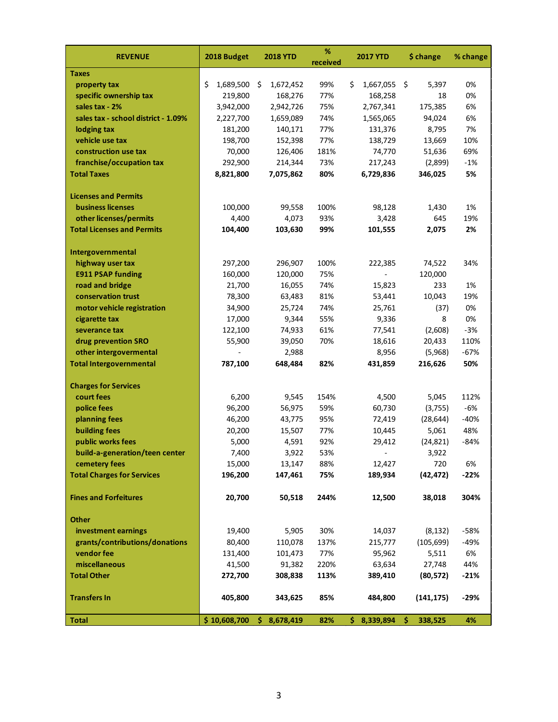| <b>REVENUE</b>                      | 2018 Budget     | <b>2018 YTD</b> | %<br>received | <b>2017 YTD</b> | \$ change     | % change |
|-------------------------------------|-----------------|-----------------|---------------|-----------------|---------------|----------|
| <b>Taxes</b>                        |                 |                 |               |                 |               |          |
| property tax                        | \$<br>1,689,500 | \$<br>1,672,452 | 99%           | \$<br>1,667,055 | \$<br>5,397   | 0%       |
| specific ownership tax              | 219,800         | 168,276         | 77%           | 168,258         | 18            | 0%       |
| sales tax - 2%                      | 3,942,000       | 2,942,726       | 75%           | 2,767,341       | 175,385       | 6%       |
| sales tax - school district - 1.09% | 2,227,700       | 1,659,089       | 74%           | 1,565,065       | 94,024        | 6%       |
| lodging tax                         | 181,200         | 140,171         | 77%           | 131,376         | 8,795         | 7%       |
| vehicle use tax                     | 198,700         | 152,398         | 77%           | 138,729         | 13,669        | 10%      |
| construction use tax                | 70,000          | 126,406         | 181%          | 74,770          | 51,636        | 69%      |
| franchise/occupation tax            | 292,900         | 214,344         | 73%           | 217,243         | (2,899)       | $-1%$    |
| <b>Total Taxes</b>                  | 8,821,800       | 7,075,862       | 80%           | 6,729,836       | 346,025       | 5%       |
| <b>Licenses and Permits</b>         |                 |                 |               |                 |               |          |
| <b>business licenses</b>            | 100,000         | 99,558          | 100%          | 98,128          | 1,430         | 1%       |
| other licenses/permits              | 4,400           | 4,073           | 93%           | 3,428           | 645           | 19%      |
| <b>Total Licenses and Permits</b>   | 104,400         | 103,630         | 99%           | 101,555         | 2,075         | 2%       |
| Intergovernmental                   |                 |                 |               |                 |               |          |
| highway user tax                    | 297,200         | 296,907         | 100%          | 222,385         | 74,522        | 34%      |
| <b>E911 PSAP funding</b>            | 160,000         | 120,000         | 75%           |                 | 120,000       |          |
| road and bridge                     | 21,700          | 16,055          | 74%           | 15,823          | 233           | 1%       |
| conservation trust                  | 78,300          | 63,483          | 81%           | 53,441          | 10,043        | 19%      |
| motor vehicle registration          | 34,900          | 25,724          | 74%           | 25,761          | (37)          | 0%       |
| cigarette tax                       | 17,000          | 9,344           | 55%           | 9,336           | 8             | 0%       |
| severance tax                       | 122,100         | 74,933          | 61%           | 77,541          | (2,608)       | $-3%$    |
| drug prevention SRO                 | 55,900          | 39,050          | 70%           | 18,616          | 20,433        | 110%     |
| other intergovermental              |                 | 2,988           |               | 8,956           | (5,968)       | $-67%$   |
| <b>Total Intergovernmental</b>      | 787,100         | 648,484         | 82%           | 431,859         | 216,626       | 50%      |
| <b>Charges for Services</b>         |                 |                 |               |                 |               |          |
| court fees                          | 6,200           | 9,545           | 154%          | 4,500           | 5,045         | 112%     |
| police fees                         | 96,200          | 56,975          | 59%           | 60,730          | (3,755)       | -6%      |
| planning fees                       | 46,200          | 43,775          | 95%           | 72,419          | (28, 644)     | $-40%$   |
| <b>building fees</b>                | 20,200          | 15,507          | 77%           | 10,445          | 5,061         | 48%      |
| public works fees                   | 5,000           | 4,591           | 92%           | 29,412          | (24, 821)     | -84%     |
| build-a-generation/teen center      | 7,400           | 3,922           | 53%           |                 | 3,922         |          |
| cemetery fees                       | 15,000          | 13,147          | 88%           | 12,427          | 720           | 6%       |
| <b>Total Charges for Services</b>   | 196,200         | 147,461         | 75%           | 189,934         | (42, 472)     | $-22%$   |
| <b>Fines and Forfeitures</b>        | 20,700          | 50,518          | 244%          | 12,500          | 38,018        | 304%     |
| <b>Other</b>                        |                 |                 |               |                 |               |          |
| investment earnings                 | 19,400          | 5,905           | 30%           | 14,037          | (8, 132)      | $-58%$   |
| grants/contributions/donations      | 80,400          | 110,078         | 137%          | 215,777         | (105, 699)    | $-49%$   |
| vendor fee                          | 131,400         | 101,473         | 77%           | 95,962          | 5,511         | 6%       |
| miscellaneous                       | 41,500          | 91,382          | 220%          | 63,634          | 27,748        | 44%      |
| <b>Total Other</b>                  | 272,700         | 308,838         | 113%          | 389,410         | (80, 572)     | $-21%$   |
| <b>Transfers In</b>                 | 405,800         | 343,625         | 85%           | 484,800         | (141, 175)    | $-29%$   |
| <b>Total</b>                        | \$10,608,700    | \$8,678,419     | 82%           | \$8,339,894     | \$<br>338,525 | 4%       |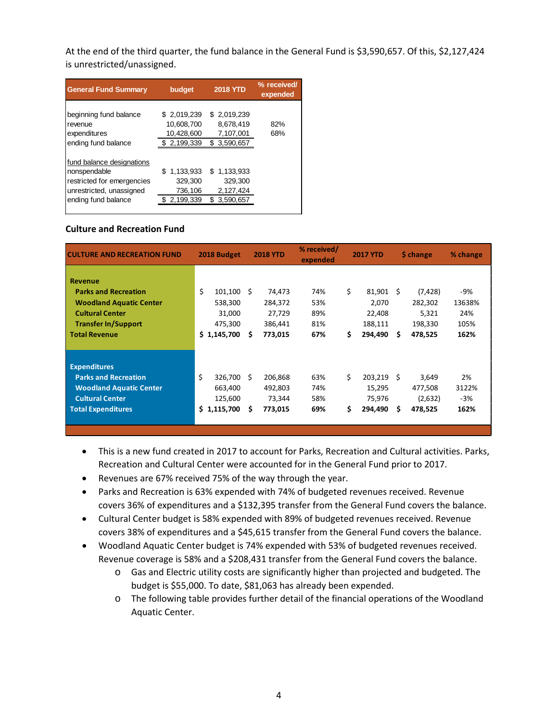At the end of the third quarter, the fund balance in the General Fund is \$3,590,657. Of this, \$2,127,424 is unrestricted/unassigned.

| <b>General Fund Summary</b>                                                                                                | budget                                                 | <b>2018 YTD</b>                                         | % received/<br>expended |
|----------------------------------------------------------------------------------------------------------------------------|--------------------------------------------------------|---------------------------------------------------------|-------------------------|
| beginning fund balance<br>revenue<br>expenditures<br>ending fund balance                                                   | \$2,019,239<br>10,608,700<br>10,428,600<br>\$2,199,339 | \$2.019.239<br>8,678,419<br>7,107,001<br>\$3,590,657    | 82%<br>68%              |
| fund balance designations<br>nonspendable<br>restricted for emergencies<br>unrestricted, unassigned<br>ending fund balance | 1,133,933<br>\$<br>329,300<br>736,106<br>2,199,339     | \$1,133,933<br>329,300<br>2,127,424<br>3,590,657<br>SS. |                         |

### **Culture and Recreation Fund**

| <b>CULTURE AND RECREATION FUND</b>                                                                                                                              | 2018 Budget                                                       | <b>2018 YTD</b>                                              | % received/<br>expended         | <b>2017 YTD</b>                                             | \$ change                                                       | % change                             |
|-----------------------------------------------------------------------------------------------------------------------------------------------------------------|-------------------------------------------------------------------|--------------------------------------------------------------|---------------------------------|-------------------------------------------------------------|-----------------------------------------------------------------|--------------------------------------|
| <b>Revenue</b><br><b>Parks and Recreation</b><br><b>Woodland Aquatic Center</b><br><b>Cultural Center</b><br><b>Transfer In/Support</b><br><b>Total Revenue</b> | \$<br>101,100<br>538,300<br>31,000<br>475,300<br>\$.<br>1,145,700 | Ŝ.<br>74,473<br>284,372<br>27,729<br>386,441<br>773,015<br>S | 74%<br>53%<br>89%<br>81%<br>67% | \$<br>81,901<br>2,070<br>22,408<br>188,111<br>\$<br>294,490 | - \$<br>(7, 428)<br>282,302<br>5,321<br>198,330<br>478,525<br>s | -9%<br>13638%<br>24%<br>105%<br>162% |
| <b>Expenditures</b><br><b>Parks and Recreation</b><br><b>Woodland Aquatic Center</b><br><b>Cultural Center</b><br><b>Total Expenditures</b>                     | \$<br>326.700<br>663,400<br>125,600<br>\$1,115,700                | Ŝ.<br>206.868<br>492,803<br>73,344<br>S<br>773,015           | 63%<br>74%<br>58%<br>69%        | Ś.<br>203.219<br>15,295<br>75,976<br>\$<br>294,490          | -S<br>3.649<br>477,508<br>(2,632)<br>478,525<br>S               | 2%<br>3122%<br>-3%<br>162%           |

- This is a new fund created in 2017 to account for Parks, Recreation and Cultural activities. Parks, Recreation and Cultural Center were accounted for in the General Fund prior to 2017.
- Revenues are 67% received 75% of the way through the year.
- Parks and Recreation is 63% expended with 74% of budgeted revenues received. Revenue covers 36% of expenditures and a \$132,395 transfer from the General Fund covers the balance.
- Cultural Center budget is 58% expended with 89% of budgeted revenues received. Revenue covers 38% of expenditures and a \$45,615 transfer from the General Fund covers the balance.
- Woodland Aquatic Center budget is 74% expended with 53% of budgeted revenues received. Revenue coverage is 58% and a \$208,431 transfer from the General Fund covers the balance.
	- o Gas and Electric utility costs are significantly higher than projected and budgeted. The budget is \$55,000. To date, \$81,063 has already been expended.
	- o The following table provides further detail of the financial operations of the Woodland Aquatic Center.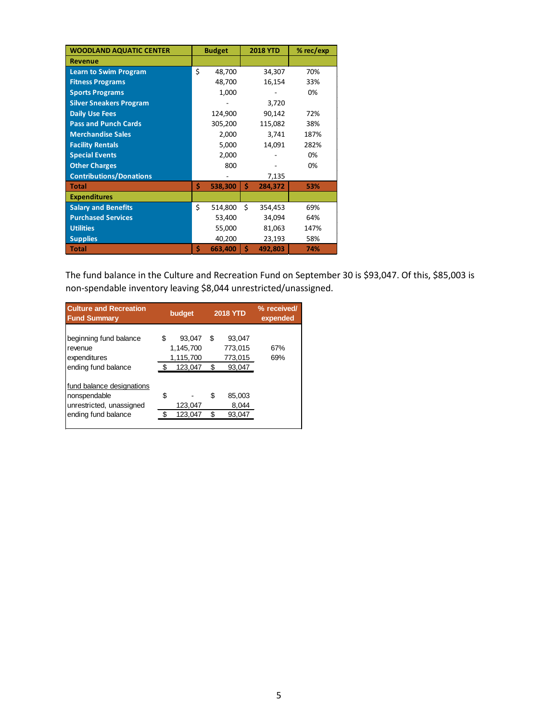| <b>WOODLAND AQUATIC CENTER</b> | <b>Budget</b> | <b>2018 YTD</b> | % rec/exp |
|--------------------------------|---------------|-----------------|-----------|
| <b>Revenue</b>                 |               |                 |           |
| <b>Learn to Swim Program</b>   | \$<br>48,700  | 34,307          | 70%       |
| <b>Fitness Programs</b>        | 48,700        | 16,154          | 33%       |
| <b>Sports Programs</b>         | 1,000         |                 | 0%        |
| <b>Silver Sneakers Program</b> |               | 3,720           |           |
| <b>Daily Use Fees</b>          | 124,900       | 90,142          | 72%       |
| <b>Pass and Punch Cards</b>    | 305,200       | 115,082         | 38%       |
| <b>Merchandise Sales</b>       | 2,000         | 3,741           | 187%      |
| <b>Facility Rentals</b>        | 5,000         | 14,091          | 282%      |
| <b>Special Events</b>          | 2,000         |                 | 0%        |
| <b>Other Charges</b>           | 800           |                 | 0%        |
| <b>Contributions/Donations</b> |               | 7,135           |           |
| <b>Total</b>                   | \$<br>538,300 | \$<br>284,372   | 53%       |
| <b>Expenditures</b>            |               |                 |           |
| <b>Salary and Benefits</b>     | \$<br>514,800 | \$<br>354,453   | 69%       |
| <b>Purchased Services</b>      | 53,400        | 34,094          | 64%       |
| <b>Utilities</b>               | 55,000        | 81,063          | 147%      |
| <b>Supplies</b>                | 40,200        | 23,193          | 58%       |
| <b>Total</b>                   | \$<br>663,400 | \$<br>492,803   | 74%       |

The fund balance in the Culture and Recreation Fund on September 30 is \$93,047. Of this, \$85,003 is non-spendable inventory leaving \$8,044 unrestricted/unassigned.

| <b>Culture and Recreation</b><br><b>Fund Summary</b>                                         | <b>2018 YTD</b><br>budget |                                             |        | % received/<br>expended                |            |
|----------------------------------------------------------------------------------------------|---------------------------|---------------------------------------------|--------|----------------------------------------|------------|
| beginning fund balance<br>revenue<br>expenditures<br>ending fund balance                     | S<br>ፍ                    | 93,047<br>1,145,700<br>1,115,700<br>123,047 | S      | 93.047<br>773,015<br>773,015<br>93,047 | 67%<br>69% |
| fund balance designations<br>nonspendable<br>unrestricted, unassigned<br>ending fund balance | S                         | 123,047<br>123,047                          | S<br>S | 85.003<br>8,044<br>93,047              |            |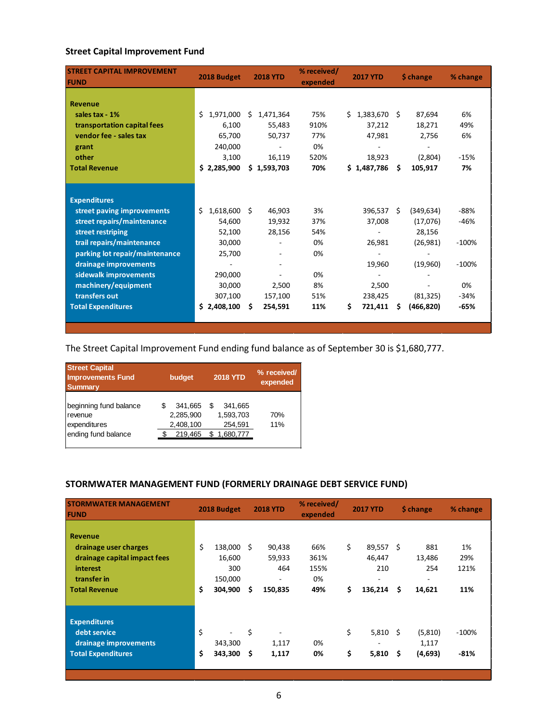### **Street Capital Improvement Fund**

| <b>STREET CAPITAL IMPROVEMENT</b><br><b>FUND</b> | 2018 Budget         |    | <b>2018 YTD</b> | % received/<br>expended | <b>2017 YTD</b> |      | \$ change  | % change |
|--------------------------------------------------|---------------------|----|-----------------|-------------------------|-----------------|------|------------|----------|
|                                                  |                     |    |                 |                         |                 |      |            |          |
| <b>Revenue</b>                                   |                     |    |                 |                         |                 |      |            |          |
| sales tax - 1%                                   | \$<br>1,971,000     | Ś. | 1,471,364       | 75%                     | \$1,383,670     | -S   | 87,694     | 6%       |
| transportation capital fees                      | 6,100               |    | 55,483          | 910%                    | 37,212          |      | 18,271     | 49%      |
| vendor fee - sales tax                           | 65,700              |    | 50,737          | 77%                     | 47,981          |      | 2,756      | 6%       |
| grant                                            | 240,000             |    |                 | 0%                      |                 |      |            |          |
| other                                            | 3,100               |    | 16,119          | 520%                    | 18,923          |      | (2,804)    | $-15%$   |
| <b>Total Revenue</b>                             | \$2,285,900         |    | \$1,593,703     | 70%                     | \$1,487,786     | Ś.   | 105,917    | 7%       |
|                                                  |                     |    |                 |                         |                 |      |            |          |
|                                                  |                     |    |                 |                         |                 |      |            |          |
| <b>Expenditures</b>                              |                     |    |                 |                         |                 |      |            |          |
| street paving improvements                       | Ś<br>$1,618,600$ \$ |    | 46,903          | 3%                      | 396,537         | - \$ | (349, 634) | -88%     |
| street repairs/maintenance                       | 54,600              |    | 19,932          | 37%                     | 37,008          |      | (17,076)   | -46%     |
| street restriping                                | 52,100              |    | 28,156          | 54%                     | $\blacksquare$  |      | 28,156     |          |
| trail repairs/maintenance                        | 30,000              |    |                 | 0%                      | 26,981          |      | (26,981)   | $-100%$  |
| parking lot repair/maintenance                   | 25,700              |    |                 | 0%                      |                 |      |            |          |
| drainage improvements                            |                     |    |                 |                         | 19,960          |      | (19,960)   | $-100%$  |
| sidewalk improvements                            | 290,000             |    |                 | 0%                      |                 |      |            |          |
| machinery/equipment                              | 30,000              |    | 2,500           | 8%                      | 2,500           |      |            | 0%       |
| transfers out                                    | 307,100             |    | 157,100         | 51%                     | 238,425         |      | (81, 325)  | $-34%$   |
| <b>Total Expenditures</b>                        | \$2,408,100         | Ŝ. | 254,591         | 11%                     | \$<br>721,411   | S    | (466, 820) | $-65%$   |
|                                                  |                     |    |                 |                         |                 |      |            |          |

The Street Capital Improvement Fund ending fund balance as of September 30 is \$1,680,777.

| <b>Street Capital</b><br><b>Improvements Fund</b><br><b>Summary</b>      | budget                                       | <b>2018 YTD</b>                                   | % received/<br>expended |
|--------------------------------------------------------------------------|----------------------------------------------|---------------------------------------------------|-------------------------|
| beginning fund balance<br>revenue<br>expenditures<br>ending fund balance | 341,665<br>2,285,900<br>2,408,100<br>219,465 | 341.665<br>S<br>1,593,703<br>254,591<br>1,680,777 | 70%<br>11%              |

# **STORMWATER MANAGEMENT FUND (FORMERLY DRAINAGE DEBT SERVICE FUND)**

| <b>STORMWATER MANAGEMENT</b><br><b>FUND</b>                                                                                |          | 2018 Budget                                    |          | <b>2018 YTD</b>                         | % received/<br>expended          |          | <b>2017 YTD</b>                            | \$ change                                 | % change                 |
|----------------------------------------------------------------------------------------------------------------------------|----------|------------------------------------------------|----------|-----------------------------------------|----------------------------------|----------|--------------------------------------------|-------------------------------------------|--------------------------|
| <b>Revenue</b><br>drainage user charges<br>drainage capital impact fees<br>interest<br>transfer in<br><b>Total Revenue</b> | \$<br>\$ | 138,000<br>16,600<br>300<br>150,000<br>304,900 | Ŝ<br>\$  | 90,438<br>59,933<br>464<br>۰<br>150,835 | 66%<br>361%<br>155%<br>0%<br>49% | \$<br>\$ | 89,557 \$<br>46,447<br>210<br>۰<br>136,214 | \$<br>881<br>13,486<br>254<br>-<br>14,621 | 1%<br>29%<br>121%<br>11% |
| <b>Expenditures</b><br>debt service<br>drainage improvements<br><b>Total Expenditures</b>                                  | \$<br>\$ | 343,300<br>343,300                             | \$<br>\$ | 1,117<br>1,117                          | 0%<br>0%                         | \$<br>\$ | $5,810$ \$<br>5,810                        | \$<br>(5,810)<br>1,117<br>(4,693)         | $-100%$<br>$-81%$        |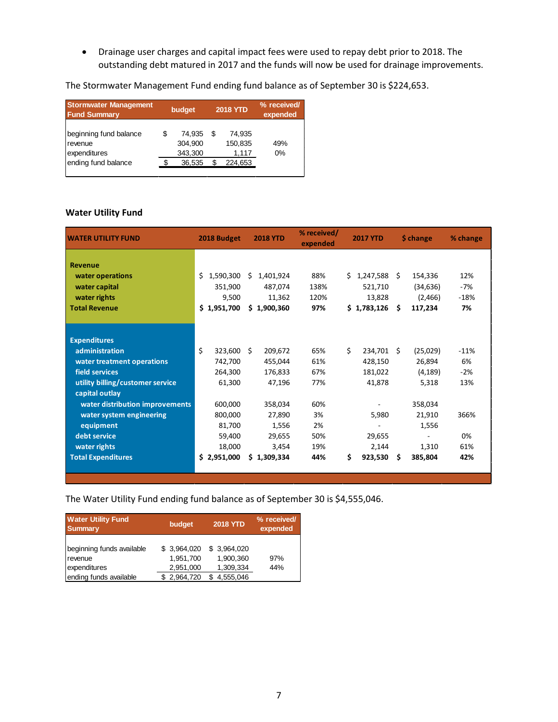• Drainage user charges and capital impact fees were used to repay debt prior to 2018. The outstanding debt matured in 2017 and the funds will now be used for drainage improvements.

The Stormwater Management Fund ending fund balance as of September 30 is \$224,653.

| <b>Stormwater Management</b><br><b>Fund Summary</b> | budget |                              | <b>2018 YTD</b> |                            | % received/<br>expended |
|-----------------------------------------------------|--------|------------------------------|-----------------|----------------------------|-------------------------|
| beginning fund balance<br>revenue<br>expenditures   |        | 74.935<br>304.900<br>343,300 | S               | 74.935<br>150,835<br>1,117 | 49%<br>$0\%$            |
| ending fund balance                                 |        | 36,535                       | S               | 224,653                    |                         |

### **Water Utility Fund**

| <b>WATER UTILITY FUND</b>        | 2018 Budget      | <b>2018 YTD</b> | % received/<br>expended | <b>2017 YTD</b> | \$ change      | % change |
|----------------------------------|------------------|-----------------|-------------------------|-----------------|----------------|----------|
|                                  |                  |                 |                         |                 |                |          |
| <b>Revenue</b>                   |                  |                 |                         |                 |                |          |
| water operations                 | Ś.<br>1,590,300  | 1,401,924<br>Ś  | 88%                     | 1,247,588<br>Ś. | 154,336<br>S.  | 12%      |
| water capital                    | 351,900          | 487.074         | 138%                    | 521,710         | (34, 636)      | $-7%$    |
| water rights                     | 9.500            | 11,362          | 120%                    | 13,828          | (2,466)        | $-18%$   |
| <b>Total Revenue</b>             | \$1,951,700      | \$1,900,360     | 97%                     | \$1,783,126     | Ŝ.<br>117,234  | 7%       |
|                                  |                  |                 |                         |                 |                |          |
|                                  |                  |                 |                         |                 |                |          |
| <b>Expenditures</b>              |                  |                 |                         |                 |                |          |
| administration                   | \$<br>323.600    | Ŝ.<br>209,672   | 65%                     | Ś.<br>234,701   | (25,029)<br>Ŝ. | $-11%$   |
| water treatment operations       | 742,700          | 455,044         | 61%                     | 428,150         | 26,894         | 6%       |
| field services                   | 264,300          | 176,833         | 67%                     | 181,022         | (4, 189)       | $-2%$    |
| utility billing/customer service | 61,300           | 47,196          | 77%                     | 41,878          | 5,318          | 13%      |
| capital outlay                   |                  |                 |                         |                 |                |          |
| water distribution improvements  | 600,000          | 358,034         | 60%                     |                 | 358,034        |          |
| water system engineering         | 800,000          | 27,890          | 3%                      | 5,980           | 21,910         | 366%     |
| equipment                        | 81,700           | 1,556           | 2%                      |                 | 1,556          |          |
| debt service                     | 59,400           | 29,655          | 50%                     | 29,655          |                | 0%       |
| water rights                     | 18,000           | 3,454           | 19%                     | 2,144           | 1,310          | 61%      |
| <b>Total Expenditures</b>        | \$.<br>2,951,000 | \$1,309,334     | 44%                     | \$<br>923,530   | 385,804<br>S   | 42%      |
|                                  |                  |                 |                         |                 |                |          |
|                                  |                  |                 |                         |                 |                |          |

The Water Utility Fund ending fund balance as of September 30 is \$4,555,046.

| <b>Water Utility Fund</b><br><b>Summary</b>          | budget                                 | <b>2018 YTD</b>                       | % received/<br>expended |
|------------------------------------------------------|----------------------------------------|---------------------------------------|-------------------------|
| beginning funds available<br>revenue<br>expenditures | \$ 3,964,020<br>1,951,700<br>2,951,000 | \$3,964,020<br>1,900,360<br>1,309,334 | 97%<br>44%              |
| ending funds available                               | \$2,964,720                            | 4,555,046                             |                         |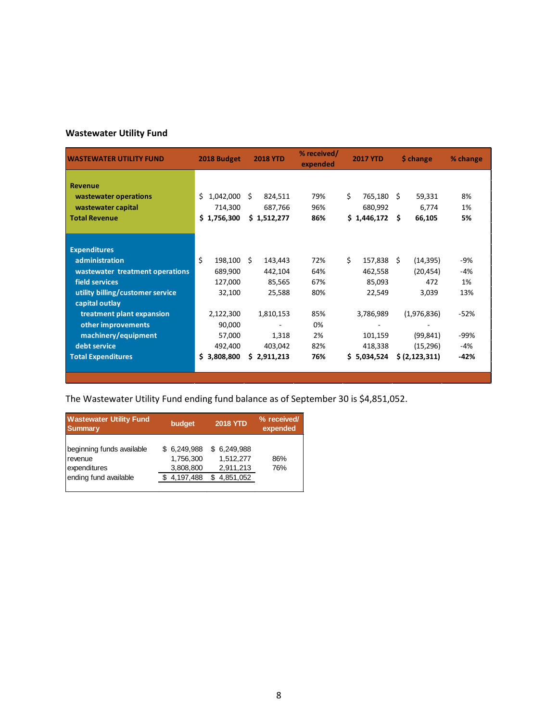# **Wastewater Utility Fund**

| <b>WASTEWATER UTILITY FUND</b>   | 2018 Budget     | <b>2018 YTD</b> | % received/<br>expended | <b>2017 YTD</b>  | \$ change        | % change |
|----------------------------------|-----------------|-----------------|-------------------------|------------------|------------------|----------|
|                                  |                 |                 |                         |                  |                  |          |
| <b>Revenue</b>                   |                 |                 |                         |                  |                  |          |
| wastewater operations            | Ś.<br>1,042,000 | Ŝ.<br>824,511   | 79%                     | Ś.<br>765,180    | Ŝ.<br>59,331     | 8%       |
| wastewater capital               | 714,300         | 687,766         | 96%                     | 680,992          | 6,774            | 1%       |
| <b>Total Revenue</b>             | \$1,756,300     | \$1,512,277     | 86%                     | \$1,446,172      | Ŝ.<br>66,105     | 5%       |
|                                  |                 |                 |                         |                  |                  |          |
|                                  |                 |                 |                         |                  |                  |          |
| <b>Expenditures</b>              |                 |                 |                         |                  |                  |          |
| administration                   | Ś<br>198,100    | Ŝ.<br>143,443   | 72%                     | Ś.<br>157,838    | Ŝ.<br>(14, 395)  | -9%      |
| wastewater treatment operations  | 689,900         | 442,104         | 64%                     | 462,558          | (20, 454)        | -4%      |
| field services                   | 127,000         | 85,565          | 67%                     | 85,093           | 472              | 1%       |
| utility billing/customer service | 32,100          | 25,588          | 80%                     | 22,549           | 3,039            | 13%      |
| capital outlay                   |                 |                 |                         |                  |                  |          |
| treatment plant expansion        | 2,122,300       | 1,810,153       | 85%                     | 3,786,989        | (1,976,836)      | $-52%$   |
| other improvements               | 90,000          |                 | 0%                      |                  |                  |          |
| machinery/equipment              | 57,000          | 1,318           | 2%                      | 101,159          | (99, 841)        | -99%     |
| debt service                     | 492,400         | 403,042         | 82%                     | 418,338          | (15, 296)        | $-4%$    |
| <b>Total Expenditures</b>        | \$<br>3,808,800 | \$2,911,213     | 76%                     | \$.<br>5,034,524 | \$ (2, 123, 311) | $-42%$   |
|                                  |                 |                 |                         |                  |                  |          |

The Wastewater Utility Fund ending fund balance as of September 30 is \$4,851,052.

| <b>Wastewater Utility Fund</b><br><b>Summary</b>                              | budget                                             | <b>2018 YTD</b>                                       | % received/<br>expended |  |
|-------------------------------------------------------------------------------|----------------------------------------------------|-------------------------------------------------------|-------------------------|--|
| beginning funds available<br>revenue<br>expenditures<br>ending fund available | \$6,249,988<br>1.756.300<br>3,808,800<br>4,197,488 | 6,249,988<br>S<br>1.512.277<br>2,911,213<br>4,851,052 | 86%<br>76%              |  |